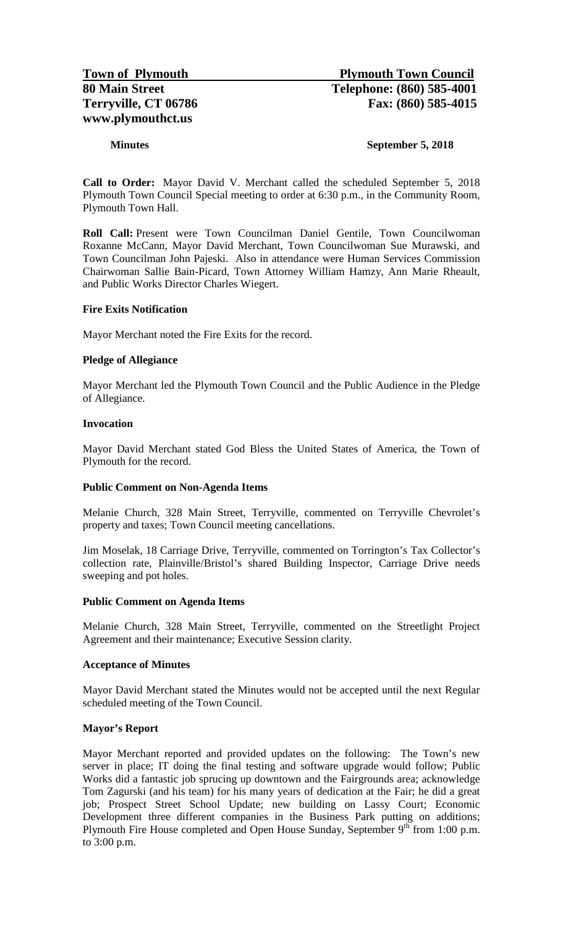# **Minutes September 5, 2018**

**Call to Order:** Mayor David V. Merchant called the scheduled September 5, 2018 Plymouth Town Council Special meeting to order at 6:30 p.m., in the Community Room, Plymouth Town Hall.

**Roll Call:** Present were Town Councilman Daniel Gentile, Town Councilwoman Roxanne McCann, Mayor David Merchant, Town Councilwoman Sue Murawski, and Town Councilman John Pajeski. Also in attendance were Human Services Commission Chairwoman Sallie Bain-Picard, Town Attorney William Hamzy, Ann Marie Rheault, and Public Works Director Charles Wiegert.

## **Fire Exits Notification**

Mayor Merchant noted the Fire Exits for the record.

## **Pledge of Allegiance**

Mayor Merchant led the Plymouth Town Council and the Public Audience in the Pledge of Allegiance.

### **Invocation**

Mayor David Merchant stated God Bless the United States of America, the Town of Plymouth for the record.

### **Public Comment on Non-Agenda Items**

Melanie Church, 328 Main Street, Terryville, commented on Terryville Chevrolet's property and taxes; Town Council meeting cancellations.

Jim Moselak, 18 Carriage Drive, Terryville, commented on Torrington's Tax Collector's collection rate, Plainville/Bristol's shared Building Inspector, Carriage Drive needs sweeping and pot holes.

### **Public Comment on Agenda Items**

Melanie Church, 328 Main Street, Terryville, commented on the Streetlight Project Agreement and their maintenance; Executive Session clarity.

### **Acceptance of Minutes**

Mayor David Merchant stated the Minutes would not be accepted until the next Regular scheduled meeting of the Town Council.

### **Mayor's Report**

Mayor Merchant reported and provided updates on the following: The Town's new server in place; IT doing the final testing and software upgrade would follow; Public Works did a fantastic job sprucing up downtown and the Fairgrounds area; acknowledge Tom Zagurski (and his team) for his many years of dedication at the Fair; he did a great job; Prospect Street School Update; new building on Lassy Court; Economic Development three different companies in the Business Park putting on additions; Plymouth Fire House completed and Open House Sunday, September  $9<sup>th</sup>$  from 1:00 p.m. to 3:00 p.m.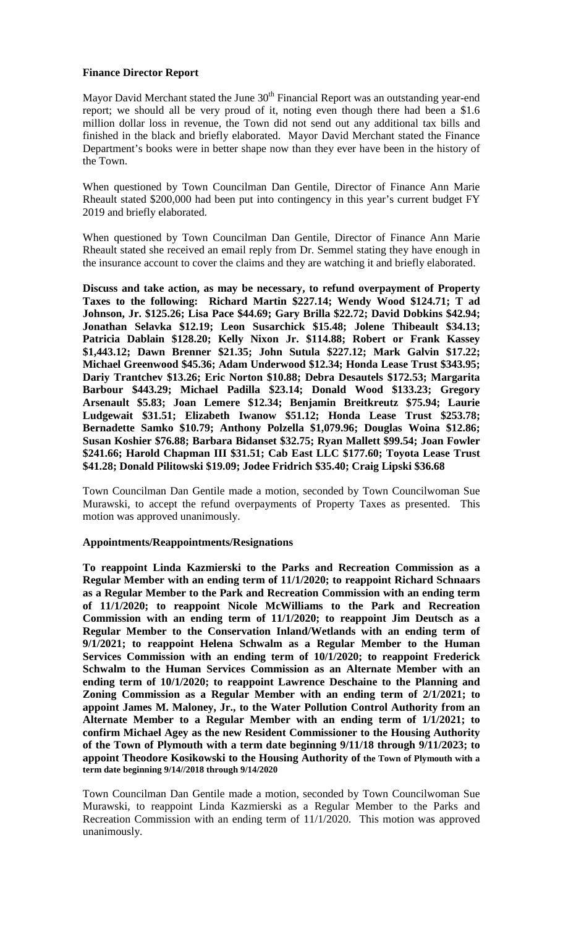# **Finance Director Report**

Mayor David Merchant stated the June  $30<sup>th</sup>$  Financial Report was an outstanding year-end report; we should all be very proud of it, noting even though there had been a \$1.6 million dollar loss in revenue, the Town did not send out any additional tax bills and finished in the black and briefly elaborated. Mayor David Merchant stated the Finance Department's books were in better shape now than they ever have been in the history of the Town.

When questioned by Town Councilman Dan Gentile, Director of Finance Ann Marie Rheault stated \$200,000 had been put into contingency in this year's current budget FY 2019 and briefly elaborated.

When questioned by Town Councilman Dan Gentile, Director of Finance Ann Marie Rheault stated she received an email reply from Dr. Semmel stating they have enough in the insurance account to cover the claims and they are watching it and briefly elaborated.

**Discuss and take action, as may be necessary, to refund overpayment of Property Taxes to the following: Richard Martin \$227.14; Wendy Wood \$124.71; T ad Johnson, Jr. \$125.26; Lisa Pace \$44.69; Gary Brilla \$22.72; David Dobkins \$42.94; Jonathan Selavka \$12.19; Leon Susarchick \$15.48; Jolene Thibeault \$34.13; Patricia Dablain \$128.20; Kelly Nixon Jr. \$114.88; Robert or Frank Kassey \$1,443.12; Dawn Brenner \$21.35; John Sutula \$227.12; Mark Galvin \$17.22; Michael Greenwood \$45.36; Adam Underwood \$12.34; Honda Lease Trust \$343.95; Dariy Trantchev \$13.26; Eric Norton \$10.88; Debra Desautels \$172.53; Margarita Barbour \$443.29; Michael Padilla \$23.14; Donald Wood \$133.23; Gregory Arsenault \$5.83; Joan Lemere \$12.34; Benjamin Breitkreutz \$75.94; Laurie Ludgewait \$31.51; Elizabeth Iwanow \$51.12; Honda Lease Trust \$253.78; Bernadette Samko \$10.79; Anthony Polzella \$1,079.96; Douglas Woina \$12.86; Susan Koshier \$76.88; Barbara Bidanset \$32.75; Ryan Mallett \$99.54; Joan Fowler \$241.66; Harold Chapman III \$31.51; Cab East LLC \$177.60; Toyota Lease Trust \$41.28; Donald Pilitowski \$19.09; Jodee Fridrich \$35.40; Craig Lipski \$36.68**

Town Councilman Dan Gentile made a motion, seconded by Town Councilwoman Sue Murawski, to accept the refund overpayments of Property Taxes as presented. This motion was approved unanimously.

# **Appointments/Reappointments/Resignations**

**To reappoint Linda Kazmierski to the Parks and Recreation Commission as a Regular Member with an ending term of 11/1/2020; to reappoint Richard Schnaars as a Regular Member to the Park and Recreation Commission with an ending term of 11/1/2020; to reappoint Nicole McWilliams to the Park and Recreation Commission with an ending term of 11/1/2020; to reappoint Jim Deutsch as a Regular Member to the Conservation Inland/Wetlands with an ending term of 9/1/2021; to reappoint Helena Schwalm as a Regular Member to the Human Services Commission with an ending term of 10/1/2020; to reappoint Frederick Schwalm to the Human Services Commission as an Alternate Member with an ending term of 10/1/2020; to reappoint Lawrence Deschaine to the Planning and Zoning Commission as a Regular Member with an ending term of 2/1/2021; to appoint James M. Maloney, Jr., to the Water Pollution Control Authority from an Alternate Member to a Regular Member with an ending term of 1/1/2021; to confirm Michael Agey as the new Resident Commissioner to the Housing Authority of the Town of Plymouth with a term date beginning 9/11/18 through 9/11/2023; to appoint Theodore Kosikowski to the Housing Authority of the Town of Plymouth with a term date beginning 9/14//2018 through 9/14/2020**

Town Councilman Dan Gentile made a motion, seconded by Town Councilwoman Sue Murawski, to reappoint Linda Kazmierski as a Regular Member to the Parks and Recreation Commission with an ending term of 11/1/2020. This motion was approved unanimously.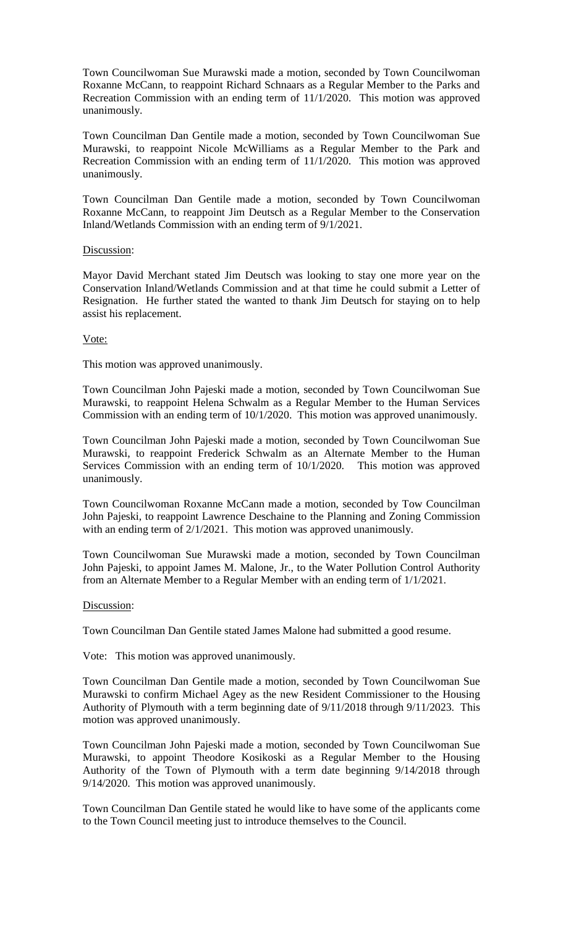Town Councilwoman Sue Murawski made a motion, seconded by Town Councilwoman Roxanne McCann, to reappoint Richard Schnaars as a Regular Member to the Parks and Recreation Commission with an ending term of 11/1/2020. This motion was approved unanimously.

Town Councilman Dan Gentile made a motion, seconded by Town Councilwoman Sue Murawski, to reappoint Nicole McWilliams as a Regular Member to the Park and Recreation Commission with an ending term of 11/1/2020. This motion was approved unanimously.

Town Councilman Dan Gentile made a motion, seconded by Town Councilwoman Roxanne McCann, to reappoint Jim Deutsch as a Regular Member to the Conservation Inland/Wetlands Commission with an ending term of 9/1/2021.

## Discussion:

Mayor David Merchant stated Jim Deutsch was looking to stay one more year on the Conservation Inland/Wetlands Commission and at that time he could submit a Letter of Resignation. He further stated the wanted to thank Jim Deutsch for staying on to help assist his replacement.

### Vote:

This motion was approved unanimously.

Town Councilman John Pajeski made a motion, seconded by Town Councilwoman Sue Murawski, to reappoint Helena Schwalm as a Regular Member to the Human Services Commission with an ending term of 10/1/2020. This motion was approved unanimously.

Town Councilman John Pajeski made a motion, seconded by Town Councilwoman Sue Murawski, to reappoint Frederick Schwalm as an Alternate Member to the Human Services Commission with an ending term of 10/1/2020. This motion was approved unanimously.

Town Councilwoman Roxanne McCann made a motion, seconded by Tow Councilman John Pajeski, to reappoint Lawrence Deschaine to the Planning and Zoning Commission with an ending term of 2/1/2021. This motion was approved unanimously.

Town Councilwoman Sue Murawski made a motion, seconded by Town Councilman John Pajeski, to appoint James M. Malone, Jr., to the Water Pollution Control Authority from an Alternate Member to a Regular Member with an ending term of 1/1/2021.

# Discussion:

Town Councilman Dan Gentile stated James Malone had submitted a good resume.

Vote: This motion was approved unanimously.

Town Councilman Dan Gentile made a motion, seconded by Town Councilwoman Sue Murawski to confirm Michael Agey as the new Resident Commissioner to the Housing Authority of Plymouth with a term beginning date of 9/11/2018 through 9/11/2023. This motion was approved unanimously.

Town Councilman John Pajeski made a motion, seconded by Town Councilwoman Sue Murawski, to appoint Theodore Kosikoski as a Regular Member to the Housing Authority of the Town of Plymouth with a term date beginning 9/14/2018 through 9/14/2020. This motion was approved unanimously.

Town Councilman Dan Gentile stated he would like to have some of the applicants come to the Town Council meeting just to introduce themselves to the Council.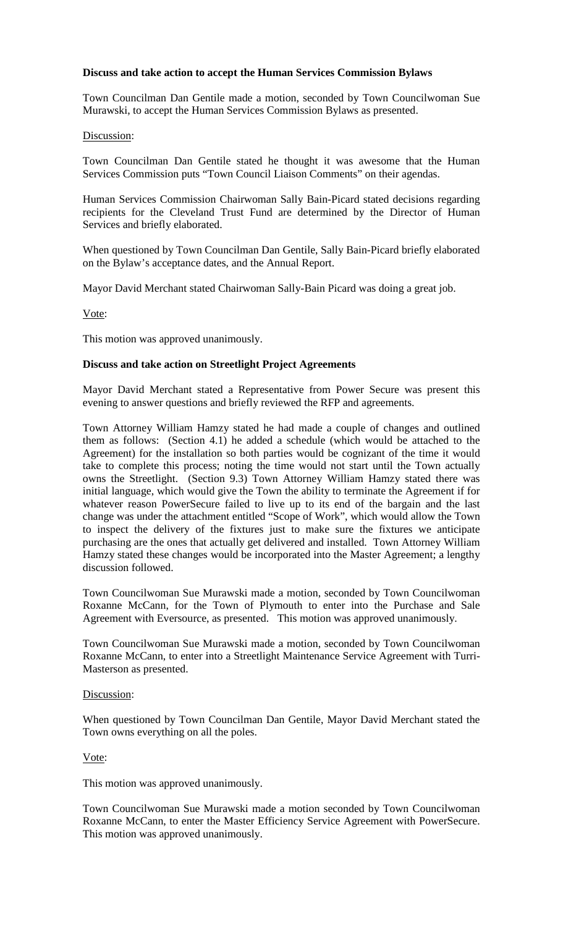## **Discuss and take action to accept the Human Services Commission Bylaws**

Town Councilman Dan Gentile made a motion, seconded by Town Councilwoman Sue Murawski, to accept the Human Services Commission Bylaws as presented.

### Discussion:

Town Councilman Dan Gentile stated he thought it was awesome that the Human Services Commission puts "Town Council Liaison Comments" on their agendas.

Human Services Commission Chairwoman Sally Bain-Picard stated decisions regarding recipients for the Cleveland Trust Fund are determined by the Director of Human Services and briefly elaborated.

When questioned by Town Councilman Dan Gentile, Sally Bain-Picard briefly elaborated on the Bylaw's acceptance dates, and the Annual Report.

Mayor David Merchant stated Chairwoman Sally-Bain Picard was doing a great job.

Vote:

This motion was approved unanimously.

### **Discuss and take action on Streetlight Project Agreements**

Mayor David Merchant stated a Representative from Power Secure was present this evening to answer questions and briefly reviewed the RFP and agreements.

Town Attorney William Hamzy stated he had made a couple of changes and outlined them as follows: (Section 4.1) he added a schedule (which would be attached to the Agreement) for the installation so both parties would be cognizant of the time it would take to complete this process; noting the time would not start until the Town actually owns the Streetlight. (Section 9.3) Town Attorney William Hamzy stated there was initial language, which would give the Town the ability to terminate the Agreement if for whatever reason PowerSecure failed to live up to its end of the bargain and the last change was under the attachment entitled "Scope of Work", which would allow the Town to inspect the delivery of the fixtures just to make sure the fixtures we anticipate purchasing are the ones that actually get delivered and installed. Town Attorney William Hamzy stated these changes would be incorporated into the Master Agreement; a lengthy discussion followed.

Town Councilwoman Sue Murawski made a motion, seconded by Town Councilwoman Roxanne McCann, for the Town of Plymouth to enter into the Purchase and Sale Agreement with Eversource, as presented. This motion was approved unanimously.

Town Councilwoman Sue Murawski made a motion, seconded by Town Councilwoman Roxanne McCann, to enter into a Streetlight Maintenance Service Agreement with Turri-Masterson as presented.

### Discussion:

When questioned by Town Councilman Dan Gentile, Mayor David Merchant stated the Town owns everything on all the poles.

Vote:

This motion was approved unanimously.

Town Councilwoman Sue Murawski made a motion seconded by Town Councilwoman Roxanne McCann, to enter the Master Efficiency Service Agreement with PowerSecure. This motion was approved unanimously.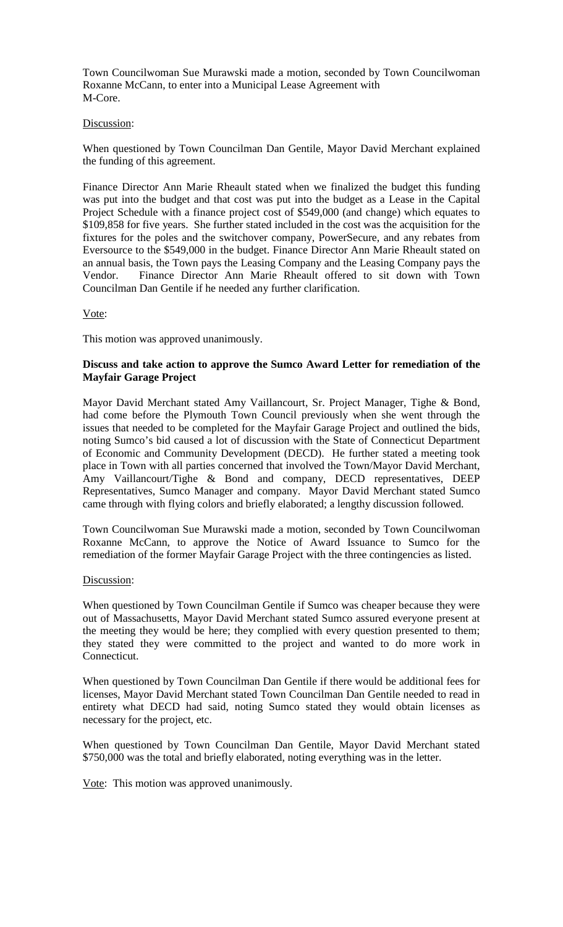Town Councilwoman Sue Murawski made a motion, seconded by Town Councilwoman Roxanne McCann, to enter into a Municipal Lease Agreement with M-Core.

## Discussion:

When questioned by Town Councilman Dan Gentile, Mayor David Merchant explained the funding of this agreement.

Finance Director Ann Marie Rheault stated when we finalized the budget this funding was put into the budget and that cost was put into the budget as a Lease in the Capital Project Schedule with a finance project cost of \$549,000 (and change) which equates to \$109,858 for five years. She further stated included in the cost was the acquisition for the fixtures for the poles and the switchover company, PowerSecure, and any rebates from Eversource to the \$549,000 in the budget. Finance Director Ann Marie Rheault stated on an annual basis, the Town pays the Leasing Company and the Leasing Company pays the Vendor. Finance Director Ann Marie Rheault offered to sit down with Town Councilman Dan Gentile if he needed any further clarification.

## Vote:

This motion was approved unanimously.

## **Discuss and take action to approve the Sumco Award Letter for remediation of the Mayfair Garage Project**

Mayor David Merchant stated Amy Vaillancourt, Sr. Project Manager, Tighe & Bond, had come before the Plymouth Town Council previously when she went through the issues that needed to be completed for the Mayfair Garage Project and outlined the bids, noting Sumco's bid caused a lot of discussion with the State of Connecticut Department of Economic and Community Development (DECD). He further stated a meeting took place in Town with all parties concerned that involved the Town/Mayor David Merchant, Amy Vaillancourt/Tighe & Bond and company, DECD representatives, DEEP Representatives, Sumco Manager and company. Mayor David Merchant stated Sumco came through with flying colors and briefly elaborated; a lengthy discussion followed.

Town Councilwoman Sue Murawski made a motion, seconded by Town Councilwoman Roxanne McCann, to approve the Notice of Award Issuance to Sumco for the remediation of the former Mayfair Garage Project with the three contingencies as listed.

### Discussion:

When questioned by Town Councilman Gentile if Sumco was cheaper because they were out of Massachusetts, Mayor David Merchant stated Sumco assured everyone present at the meeting they would be here; they complied with every question presented to them; they stated they were committed to the project and wanted to do more work in Connecticut.

When questioned by Town Councilman Dan Gentile if there would be additional fees for licenses, Mayor David Merchant stated Town Councilman Dan Gentile needed to read in entirety what DECD had said, noting Sumco stated they would obtain licenses as necessary for the project, etc.

When questioned by Town Councilman Dan Gentile, Mayor David Merchant stated \$750,000 was the total and briefly elaborated, noting everything was in the letter.

Vote: This motion was approved unanimously.